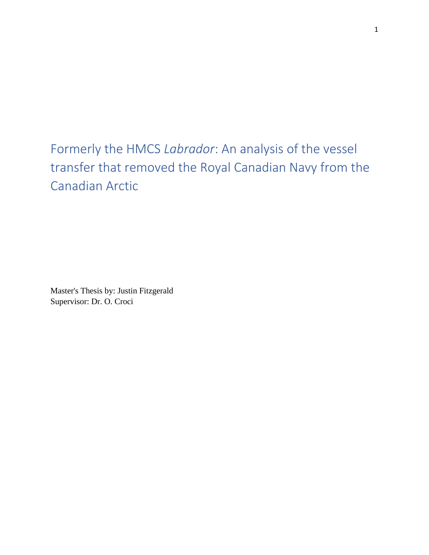Formerly the HMCS *Labrador*: An analysis of the vessel transfer that removed the Royal Canadian Navy from the Canadian Arctic

Master's Thesis by: Justin Fitzgerald Supervisor: Dr. O. Croci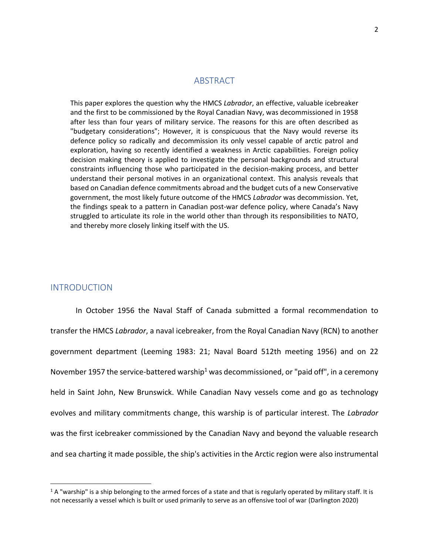#### ABSTRACT

This paper explores the question why the HMCS *Labrador*, an effective, valuable icebreaker and the first to be commissioned by the Royal Canadian Navy, was decommissioned in 1958 after less than four years of military service. The reasons for this are often described as "budgetary considerations"; However, it is conspicuous that the Navy would reverse its defence policy so radically and decommission its only vessel capable of arctic patrol and exploration, having so recently identified a weakness in Arctic capabilities. Foreign policy decision making theory is applied to investigate the personal backgrounds and structural constraints influencing those who participated in the decision-making process, and better understand their personal motives in an organizational context. This analysis reveals that based on Canadian defence commitments abroad and the budget cuts of a new Conservative government, the most likely future outcome of the HMCS *Labrador* was decommission. Yet, the findings speak to a pattern in Canadian post-war defence policy, where Canada's Navy struggled to articulate its role in the world other than through its responsibilities to NATO, and thereby more closely linking itself with the US.

#### INTRODUCTION

In October 1956 the Naval Staff of Canada submitted a formal recommendation to transfer the HMCS *Labrador*, a naval icebreaker, from the Royal Canadian Navy (RCN) to another government department (Leeming 1983: 21; Naval Board 512th meeting 1956) and on 22 November 1957 the service-battered warship<sup>1</sup> was decommissioned, or "paid off", in a ceremony held in Saint John, New Brunswick. While Canadian Navy vessels come and go as technology evolves and military commitments change, this warship is of particular interest. The *Labrador* was the first icebreaker commissioned by the Canadian Navy and beyond the valuable research and sea charting it made possible, the ship's activities in the Arctic region were also instrumental

 $1$  A "warship" is a ship belonging to the armed forces of a state and that is regularly operated by military staff. It is not necessarily a vessel which is built or used primarily to serve as an offensive tool of war (Darlington 2020)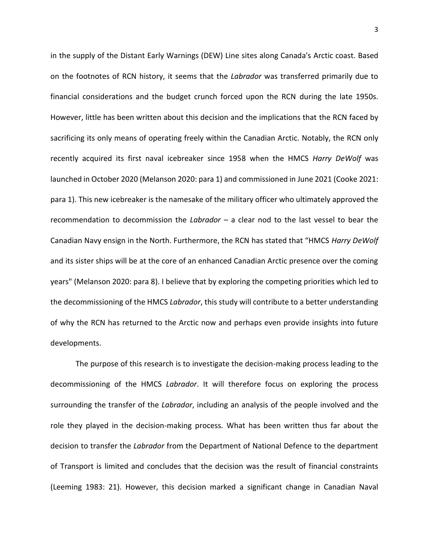in the supply of the Distant Early Warnings (DEW) Line sites along Canada's Arctic coast. Based on the footnotes of RCN history, it seems that the *Labrador* was transferred primarily due to financial considerations and the budget crunch forced upon the RCN during the late 1950s. However, little has been written about this decision and the implications that the RCN faced by sacrificing its only means of operating freely within the Canadian Arctic. Notably, the RCN only recently acquired its first naval icebreaker since 1958 when the HMCS *Harry DeWolf* was launched in October 2020 (Melanson 2020: para 1) and commissioned in June 2021 (Cooke 2021: para 1). This new icebreaker is the namesake of the military officer who ultimately approved the recommendation to decommission the *Labrador* – a clear nod to the last vessel to bear the Canadian Navy ensign in the North. Furthermore, the RCN has stated that "HMCS *Harry DeWolf* and its sister ships will be at the core of an enhanced Canadian Arctic presence over the coming years" (Melanson 2020: para 8). I believe that by exploring the competing priorities which led to the decommissioning of the HMCS *Labrador*, this study will contribute to a better understanding of why the RCN has returned to the Arctic now and perhaps even provide insights into future developments.

The purpose of this research is to investigate the decision-making process leading to the decommissioning of the HMCS *Labrador*. It will therefore focus on exploring the process surrounding the transfer of the *Labrador*, including an analysis of the people involved and the role they played in the decision-making process. What has been written thus far about the decision to transfer the *Labrador* from the Department of National Defence to the department of Transport is limited and concludes that the decision was the result of financial constraints (Leeming 1983: 21). However, this decision marked a significant change in Canadian Naval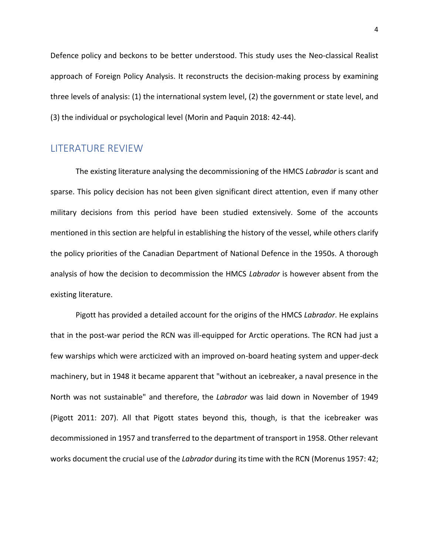Defence policy and beckons to be better understood. This study uses the Neo-classical Realist approach of Foreign Policy Analysis. It reconstructs the decision-making process by examining three levels of analysis: (1) the international system level, (2) the government or state level, and (3) the individual or psychological level (Morin and Paquin 2018: 42-44).

# LITERATURE REVIEW

The existing literature analysing the decommissioning of the HMCS *Labrador* is scant and sparse. This policy decision has not been given significant direct attention, even if many other military decisions from this period have been studied extensively. Some of the accounts mentioned in this section are helpful in establishing the history of the vessel, while others clarify the policy priorities of the Canadian Department of National Defence in the 1950s. A thorough analysis of how the decision to decommission the HMCS *Labrador* is however absent from the existing literature.

Pigott has provided a detailed account for the origins of the HMCS *Labrador*. He explains that in the post-war period the RCN was ill-equipped for Arctic operations. The RCN had just a few warships which were arcticized with an improved on-board heating system and upper-deck machinery, but in 1948 it became apparent that "without an icebreaker, a naval presence in the North was not sustainable" and therefore, the *Labrador* was laid down in November of 1949 (Pigott 2011: 207). All that Pigott states beyond this, though, is that the icebreaker was decommissioned in 1957 and transferred to the department of transport in 1958. Other relevant works document the crucial use of the *Labrador* during its time with the RCN (Morenus 1957: 42;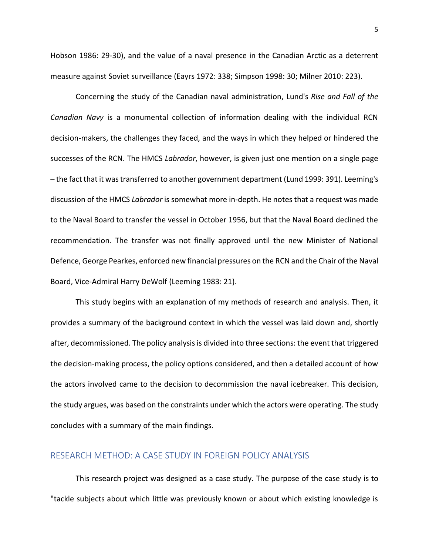Hobson 1986: 29-30), and the value of a naval presence in the Canadian Arctic as a deterrent measure against Soviet surveillance (Eayrs 1972: 338; Simpson 1998: 30; Milner 2010: 223).

Concerning the study of the Canadian naval administration, Lund's *Rise and Fall of the Canadian Navy* is a monumental collection of information dealing with the individual RCN decision-makers, the challenges they faced, and the ways in which they helped or hindered the successes of the RCN. The HMCS *Labrador*, however, is given just one mention on a single page – the fact that it was transferred to another government department (Lund 1999: 391). Leeming's discussion of the HMCS *Labrador* is somewhat more in-depth. He notes that a request was made to the Naval Board to transfer the vessel in October 1956, but that the Naval Board declined the recommendation. The transfer was not finally approved until the new Minister of National Defence, George Pearkes, enforced new financial pressures on the RCN and the Chair of the Naval Board, Vice-Admiral Harry DeWolf (Leeming 1983: 21).

This study begins with an explanation of my methods of research and analysis. Then, it provides a summary of the background context in which the vessel was laid down and, shortly after, decommissioned. The policy analysis is divided into three sections: the event that triggered the decision-making process, the policy options considered, and then a detailed account of how the actors involved came to the decision to decommission the naval icebreaker. This decision, the study argues, was based on the constraints under which the actors were operating. The study concludes with a summary of the main findings.

## RESEARCH METHOD: A CASE STUDY IN FOREIGN POLICY ANALYSIS

This research project was designed as a case study. The purpose of the case study is to "tackle subjects about which little was previously known or about which existing knowledge is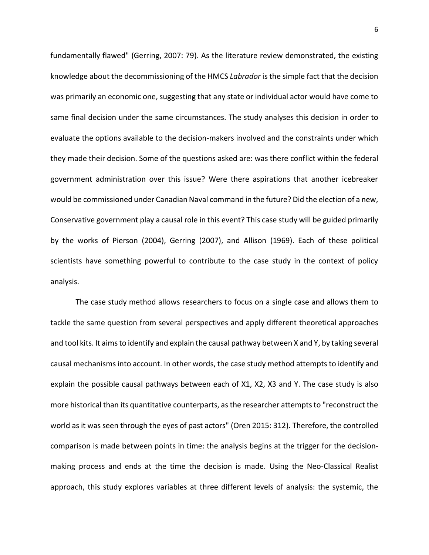fundamentally flawed" (Gerring, 2007: 79). As the literature review demonstrated, the existing knowledge about the decommissioning of the HMCS *Labrador* is the simple fact that the decision was primarily an economic one, suggesting that any state or individual actor would have come to same final decision under the same circumstances. The study analyses this decision in order to evaluate the options available to the decision-makers involved and the constraints under which they made their decision. Some of the questions asked are: was there conflict within the federal government administration over this issue? Were there aspirations that another icebreaker would be commissioned under Canadian Naval command in the future? Did the election of a new, Conservative government play a causal role in this event? This case study will be guided primarily by the works of Pierson (2004), Gerring (2007), and Allison (1969). Each of these political scientists have something powerful to contribute to the case study in the context of policy analysis.

The case study method allows researchers to focus on a single case and allows them to tackle the same question from several perspectives and apply different theoretical approaches and tool kits. It aims to identify and explain the causal pathway between X and Y, by taking several causal mechanisms into account. In other words, the case study method attempts to identify and explain the possible causal pathways between each of X1, X2, X3 and Y. The case study is also more historical than its quantitative counterparts, as the researcher attempts to "reconstruct the world as it was seen through the eyes of past actors" (Oren 2015: 312). Therefore, the controlled comparison is made between points in time: the analysis begins at the trigger for the decisionmaking process and ends at the time the decision is made. Using the Neo-Classical Realist approach, this study explores variables at three different levels of analysis: the systemic, the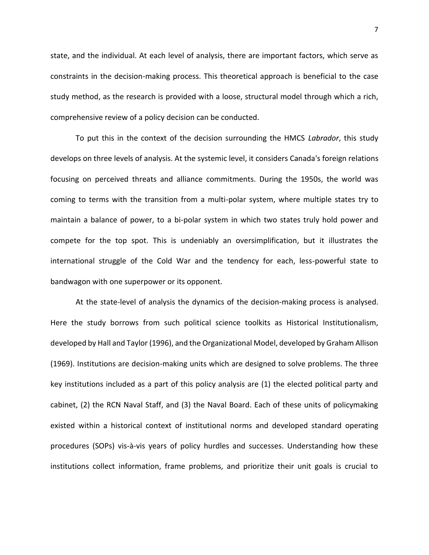state, and the individual. At each level of analysis, there are important factors, which serve as constraints in the decision-making process. This theoretical approach is beneficial to the case study method, as the research is provided with a loose, structural model through which a rich, comprehensive review of a policy decision can be conducted.

To put this in the context of the decision surrounding the HMCS *Labrador*, this study develops on three levels of analysis. At the systemic level, it considers Canada's foreign relations focusing on perceived threats and alliance commitments. During the 1950s, the world was coming to terms with the transition from a multi-polar system, where multiple states try to maintain a balance of power, to a bi-polar system in which two states truly hold power and compete for the top spot. This is undeniably an oversimplification, but it illustrates the international struggle of the Cold War and the tendency for each, less-powerful state to bandwagon with one superpower or its opponent.

At the state-level of analysis the dynamics of the decision-making process is analysed. Here the study borrows from such political science toolkits as Historical Institutionalism, developed by Hall and Taylor (1996), and the Organizational Model, developed by Graham Allison (1969). Institutions are decision-making units which are designed to solve problems. The three key institutions included as a part of this policy analysis are (1) the elected political party and cabinet, (2) the RCN Naval Staff, and (3) the Naval Board. Each of these units of policymaking existed within a historical context of institutional norms and developed standard operating procedures (SOPs) vis-à-vis years of policy hurdles and successes. Understanding how these institutions collect information, frame problems, and prioritize their unit goals is crucial to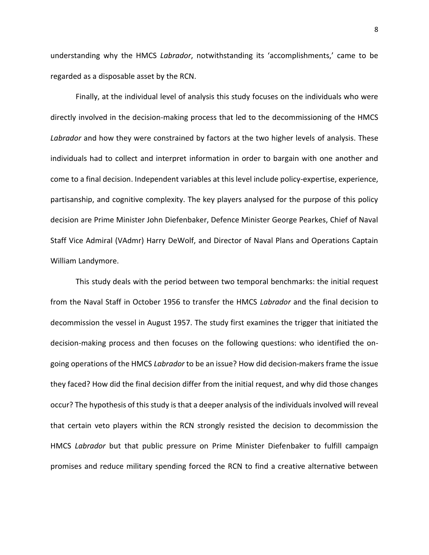understanding why the HMCS *Labrador*, notwithstanding its 'accomplishments,' came to be regarded as a disposable asset by the RCN.

Finally, at the individual level of analysis this study focuses on the individuals who were directly involved in the decision-making process that led to the decommissioning of the HMCS *Labrador* and how they were constrained by factors at the two higher levels of analysis. These individuals had to collect and interpret information in order to bargain with one another and come to a final decision. Independent variables at this level include policy-expertise, experience, partisanship, and cognitive complexity. The key players analysed for the purpose of this policy decision are Prime Minister John Diefenbaker, Defence Minister George Pearkes, Chief of Naval Staff Vice Admiral (VAdmr) Harry DeWolf, and Director of Naval Plans and Operations Captain William Landymore.

This study deals with the period between two temporal benchmarks: the initial request from the Naval Staff in October 1956 to transfer the HMCS *Labrador* and the final decision to decommission the vessel in August 1957. The study first examines the trigger that initiated the decision-making process and then focuses on the following questions: who identified the ongoing operations of the HMCS *Labrador* to be an issue? How did decision-makers frame the issue they faced? How did the final decision differ from the initial request, and why did those changes occur? The hypothesis of this study is that a deeper analysis of the individuals involved will reveal that certain veto players within the RCN strongly resisted the decision to decommission the HMCS *Labrador* but that public pressure on Prime Minister Diefenbaker to fulfill campaign promises and reduce military spending forced the RCN to find a creative alternative between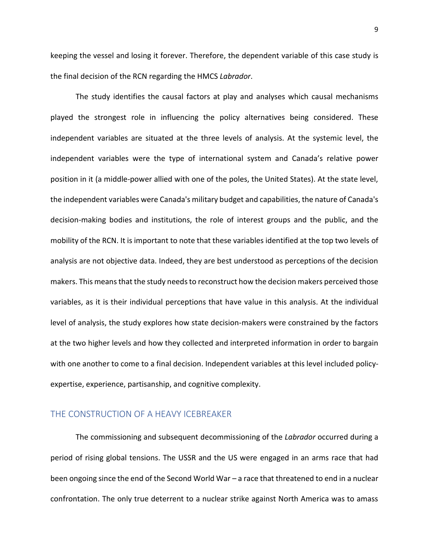keeping the vessel and losing it forever. Therefore, the dependent variable of this case study is the final decision of the RCN regarding the HMCS *Labrador*.

The study identifies the causal factors at play and analyses which causal mechanisms played the strongest role in influencing the policy alternatives being considered. These independent variables are situated at the three levels of analysis. At the systemic level, the independent variables were the type of international system and Canada's relative power position in it (a middle-power allied with one of the poles, the United States). At the state level, the independent variables were Canada's military budget and capabilities, the nature of Canada's decision-making bodies and institutions, the role of interest groups and the public, and the mobility of the RCN. It is important to note that these variables identified at the top two levels of analysis are not objective data. Indeed, they are best understood as perceptions of the decision makers. This means that the study needs to reconstruct how the decision makers perceived those variables, as it is their individual perceptions that have value in this analysis. At the individual level of analysis, the study explores how state decision-makers were constrained by the factors at the two higher levels and how they collected and interpreted information in order to bargain with one another to come to a final decision. Independent variables at this level included policyexpertise, experience, partisanship, and cognitive complexity.

## THE CONSTRUCTION OF A HEAVY ICEBREAKER

The commissioning and subsequent decommissioning of the *Labrador* occurred during a period of rising global tensions. The USSR and the US were engaged in an arms race that had been ongoing since the end of the Second World War – a race that threatened to end in a nuclear confrontation. The only true deterrent to a nuclear strike against North America was to amass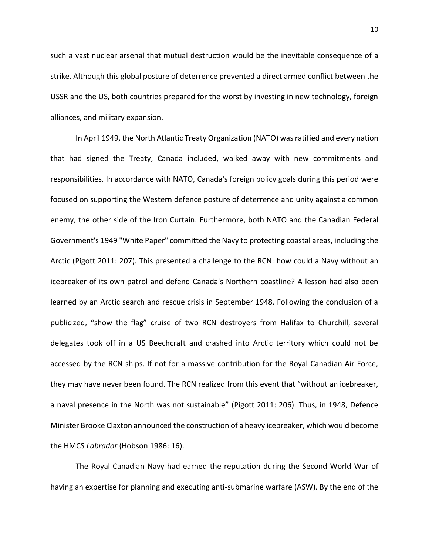such a vast nuclear arsenal that mutual destruction would be the inevitable consequence of a strike. Although this global posture of deterrence prevented a direct armed conflict between the USSR and the US, both countries prepared for the worst by investing in new technology, foreign alliances, and military expansion.

In April 1949, the North Atlantic Treaty Organization (NATO) was ratified and every nation that had signed the Treaty, Canada included, walked away with new commitments and responsibilities. In accordance with NATO, Canada's foreign policy goals during this period were focused on supporting the Western defence posture of deterrence and unity against a common enemy, the other side of the Iron Curtain. Furthermore, both NATO and the Canadian Federal Government's 1949 "White Paper" committed the Navy to protecting coastal areas, including the Arctic (Pigott 2011: 207). This presented a challenge to the RCN: how could a Navy without an icebreaker of its own patrol and defend Canada's Northern coastline? A lesson had also been learned by an Arctic search and rescue crisis in September 1948. Following the conclusion of a publicized, "show the flag" cruise of two RCN destroyers from Halifax to Churchill, several delegates took off in a US Beechcraft and crashed into Arctic territory which could not be accessed by the RCN ships. If not for a massive contribution for the Royal Canadian Air Force, they may have never been found. The RCN realized from this event that "without an icebreaker, a naval presence in the North was not sustainable" (Pigott 2011: 206). Thus, in 1948, Defence Minister Brooke Claxton announced the construction of a heavy icebreaker, which would become the HMCS *Labrador* (Hobson 1986: 16).

The Royal Canadian Navy had earned the reputation during the Second World War of having an expertise for planning and executing anti-submarine warfare (ASW). By the end of the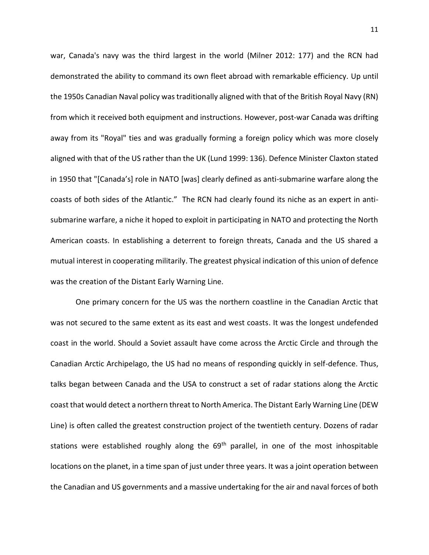war, Canada's navy was the third largest in the world (Milner 2012: 177) and the RCN had demonstrated the ability to command its own fleet abroad with remarkable efficiency. Up until the 1950s Canadian Naval policy was traditionally aligned with that of the British Royal Navy (RN) from which it received both equipment and instructions. However, post-war Canada was drifting away from its "Royal" ties and was gradually forming a foreign policy which was more closely aligned with that of the US rather than the UK (Lund 1999: 136). Defence Minister Claxton stated in 1950 that "[Canada's] role in NATO [was] clearly defined as anti-submarine warfare along the coasts of both sides of the Atlantic." The RCN had clearly found its niche as an expert in antisubmarine warfare, a niche it hoped to exploit in participating in NATO and protecting the North American coasts. In establishing a deterrent to foreign threats, Canada and the US shared a mutual interest in cooperating militarily. The greatest physical indication of this union of defence was the creation of the Distant Early Warning Line.

One primary concern for the US was the northern coastline in the Canadian Arctic that was not secured to the same extent as its east and west coasts. It was the longest undefended coast in the world. Should a Soviet assault have come across the Arctic Circle and through the Canadian Arctic Archipelago, the US had no means of responding quickly in self-defence. Thus, talks began between Canada and the USA to construct a set of radar stations along the Arctic coast that would detect a northern threat to North America. The Distant Early Warning Line (DEW Line) is often called the greatest construction project of the twentieth century. Dozens of radar stations were established roughly along the 69<sup>th</sup> parallel, in one of the most inhospitable locations on the planet, in a time span of just under three years. It was a joint operation between the Canadian and US governments and a massive undertaking for the air and naval forces of both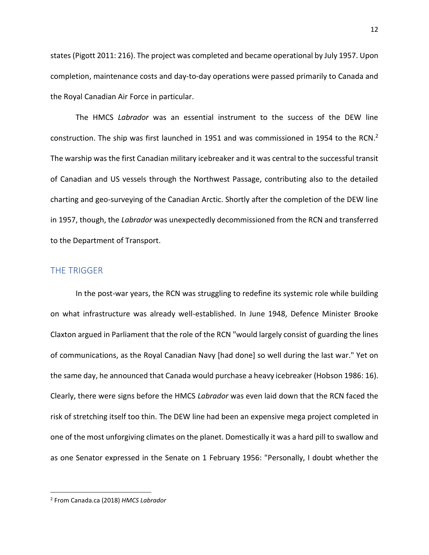states (Pigott 2011: 216). The project was completed and became operational by July 1957. Upon completion, maintenance costs and day-to-day operations were passed primarily to Canada and the Royal Canadian Air Force in particular.

The HMCS *Labrador* was an essential instrument to the success of the DEW line construction. The ship was first launched in 1951 and was commissioned in 1954 to the RCN.<sup>2</sup> The warship was the first Canadian military icebreaker and it was central to the successful transit of Canadian and US vessels through the Northwest Passage, contributing also to the detailed charting and geo-surveying of the Canadian Arctic. Shortly after the completion of the DEW line in 1957, though, the *Labrador* was unexpectedly decommissioned from the RCN and transferred to the Department of Transport.

## THE TRIGGER

In the post-war years, the RCN was struggling to redefine its systemic role while building on what infrastructure was already well-established. In June 1948, Defence Minister Brooke Claxton argued in Parliament that the role of the RCN "would largely consist of guarding the lines of communications, as the Royal Canadian Navy [had done] so well during the last war." Yet on the same day, he announced that Canada would purchase a heavy icebreaker (Hobson 1986: 16). Clearly, there were signs before the HMCS *Labrador* was even laid down that the RCN faced the risk of stretching itself too thin. The DEW line had been an expensive mega project completed in one of the most unforgiving climates on the planet. Domestically it was a hard pill to swallow and as one Senator expressed in the Senate on 1 February 1956: "Personally, I doubt whether the

<sup>2</sup> From Canada.ca (2018) *HMCS Labrador*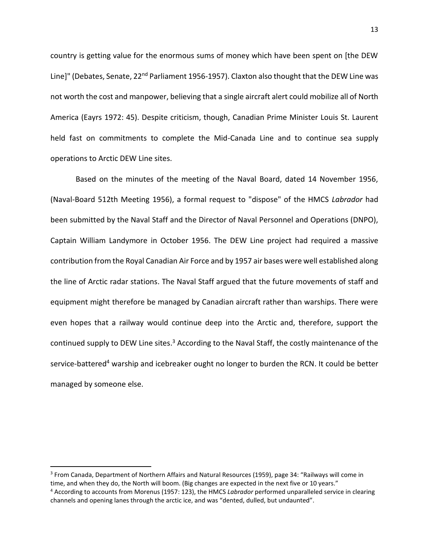country is getting value for the enormous sums of money which have been spent on [the DEW Line]" (Debates, Senate,  $22^{nd}$  Parliament 1956-1957). Claxton also thought that the DEW Line was not worth the cost and manpower, believing that a single aircraft alert could mobilize all of North America (Eayrs 1972: 45). Despite criticism, though, Canadian Prime Minister Louis St. Laurent held fast on commitments to complete the Mid-Canada Line and to continue sea supply operations to Arctic DEW Line sites.

Based on the minutes of the meeting of the Naval Board, dated 14 November 1956, (Naval-Board 512th Meeting 1956), a formal request to "dispose" of the HMCS *Labrador* had been submitted by the Naval Staff and the Director of Naval Personnel and Operations (DNPO), Captain William Landymore in October 1956. The DEW Line project had required a massive contribution from the Royal Canadian Air Force and by 1957 air bases were well established along the line of Arctic radar stations. The Naval Staff argued that the future movements of staff and equipment might therefore be managed by Canadian aircraft rather than warships. There were even hopes that a railway would continue deep into the Arctic and, therefore, support the continued supply to DEW Line sites.<sup>3</sup> According to the Naval Staff, the costly maintenance of the service-battered<sup>4</sup> warship and icebreaker ought no longer to burden the RCN. It could be better managed by someone else.

<sup>&</sup>lt;sup>3</sup> From Canada, Department of Northern Affairs and Natural Resources (1959), page 34: "Railways will come in time, and when they do, the North will boom. (Big changes are expected in the next five or 10 years."

<sup>4</sup> According to accounts from Morenus (1957: 123), the HMCS *Labrador* performed unparalleled service in clearing channels and opening lanes through the arctic ice, and was "dented, dulled, but undaunted".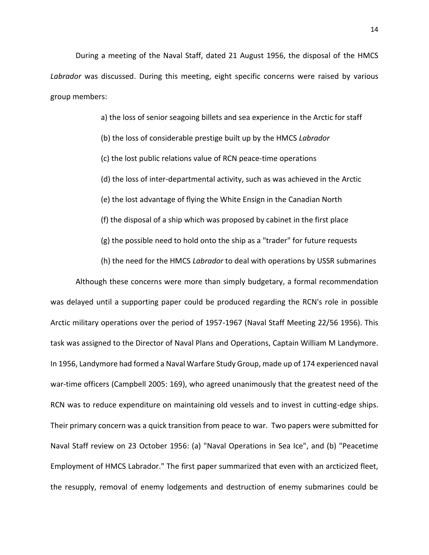During a meeting of the Naval Staff, dated 21 August 1956, the disposal of the HMCS *Labrador* was discussed. During this meeting, eight specific concerns were raised by various group members:

> a) the loss of senior seagoing billets and sea experience in the Arctic for staff (b) the loss of considerable prestige built up by the HMCS *Labrador* (c) the lost public relations value of RCN peace-time operations (d) the loss of inter-departmental activity, such as was achieved in the Arctic (e) the lost advantage of flying the White Ensign in the Canadian North (f) the disposal of a ship which was proposed by cabinet in the first place (g) the possible need to hold onto the ship as a "trader" for future requests (h) the need for the HMCS *Labrador* to deal with operations by USSR submarines

Although these concerns were more than simply budgetary, a formal recommendation was delayed until a supporting paper could be produced regarding the RCN's role in possible Arctic military operations over the period of 1957-1967 (Naval Staff Meeting 22/56 1956). This task was assigned to the Director of Naval Plans and Operations, Captain William M Landymore. In 1956, Landymore had formed a Naval Warfare Study Group, made up of 174 experienced naval war-time officers (Campbell 2005: 169), who agreed unanimously that the greatest need of the RCN was to reduce expenditure on maintaining old vessels and to invest in cutting-edge ships. Their primary concern was a quick transition from peace to war. Two papers were submitted for Naval Staff review on 23 October 1956: (a) "Naval Operations in Sea Ice", and (b) "Peacetime Employment of HMCS Labrador." The first paper summarized that even with an arcticized fleet, the resupply, removal of enemy lodgements and destruction of enemy submarines could be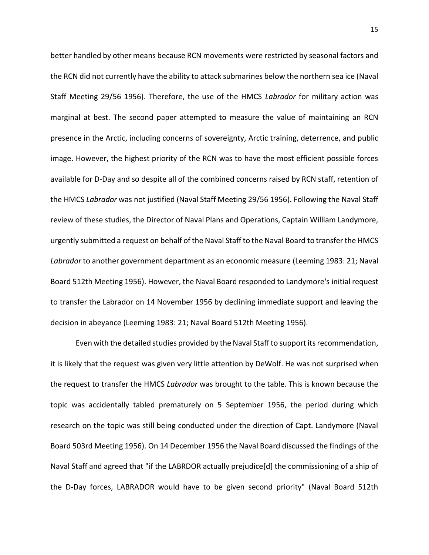better handled by other means because RCN movements were restricted by seasonal factors and the RCN did not currently have the ability to attack submarines below the northern sea ice (Naval Staff Meeting 29/56 1956). Therefore, the use of the HMCS *Labrador* for military action was marginal at best. The second paper attempted to measure the value of maintaining an RCN presence in the Arctic, including concerns of sovereignty, Arctic training, deterrence, and public image. However, the highest priority of the RCN was to have the most efficient possible forces available for D-Day and so despite all of the combined concerns raised by RCN staff, retention of the HMCS *Labrador* was not justified (Naval Staff Meeting 29/56 1956). Following the Naval Staff review of these studies, the Director of Naval Plans and Operations, Captain William Landymore, urgently submitted a request on behalf of the Naval Staff to the Naval Board to transfer the HMCS *Labrador* to another government department as an economic measure (Leeming 1983: 21; Naval Board 512th Meeting 1956). However, the Naval Board responded to Landymore's initial request to transfer the Labrador on 14 November 1956 by declining immediate support and leaving the decision in abeyance (Leeming 1983: 21; Naval Board 512th Meeting 1956).

Even with the detailed studies provided by the Naval Staff to support itsrecommendation, it is likely that the request was given very little attention by DeWolf. He was not surprised when the request to transfer the HMCS *Labrador* was brought to the table. This is known because the topic was accidentally tabled prematurely on 5 September 1956, the period during which research on the topic was still being conducted under the direction of Capt. Landymore (Naval Board 503rd Meeting 1956). On 14 December 1956 the Naval Board discussed the findings of the Naval Staff and agreed that "if the LABRDOR actually prejudice[d] the commissioning of a ship of the D-Day forces, LABRADOR would have to be given second priority" (Naval Board 512th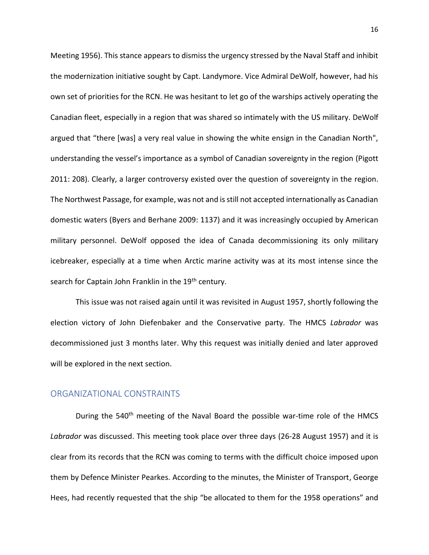Meeting 1956). This stance appears to dismiss the urgency stressed by the Naval Staff and inhibit the modernization initiative sought by Capt. Landymore. Vice Admiral DeWolf, however, had his own set of priorities for the RCN. He was hesitant to let go of the warships actively operating the Canadian fleet, especially in a region that was shared so intimately with the US military. DeWolf argued that "there [was] a very real value in showing the white ensign in the Canadian North", understanding the vessel's importance as a symbol of Canadian sovereignty in the region (Pigott 2011: 208). Clearly, a larger controversy existed over the question of sovereignty in the region. The Northwest Passage, for example, was not and is still not accepted internationally as Canadian domestic waters (Byers and Berhane 2009: 1137) and it was increasingly occupied by American military personnel. DeWolf opposed the idea of Canada decommissioning its only military icebreaker, especially at a time when Arctic marine activity was at its most intense since the search for Captain John Franklin in the 19<sup>th</sup> century.

This issue was not raised again until it was revisited in August 1957, shortly following the election victory of John Diefenbaker and the Conservative party. The HMCS *Labrador* was decommissioned just 3 months later. Why this request was initially denied and later approved will be explored in the next section.

#### ORGANIZATIONAL CONSTRAINTS

During the 540<sup>th</sup> meeting of the Naval Board the possible war-time role of the HMCS *Labrador* was discussed. This meeting took place over three days (26-28 August 1957) and it is clear from its records that the RCN was coming to terms with the difficult choice imposed upon them by Defence Minister Pearkes. According to the minutes, the Minister of Transport, George Hees, had recently requested that the ship "be allocated to them for the 1958 operations" and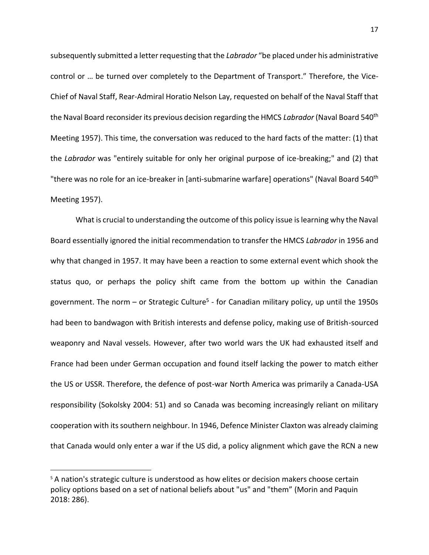subsequently submitted a letter requesting that the *Labrador* "be placed under his administrative control or … be turned over completely to the Department of Transport." Therefore, the Vice-Chief of Naval Staff, Rear-Admiral Horatio Nelson Lay, requested on behalf of the Naval Staff that the Naval Board reconsider its previous decision regarding the HMCS *Labrador* (Naval Board 540th Meeting 1957). This time, the conversation was reduced to the hard facts of the matter: (1) that the *Labrador* was "entirely suitable for only her original purpose of ice-breaking;" and (2) that "there was no role for an ice-breaker in [anti-submarine warfare] operations" (Naval Board 540<sup>th</sup> Meeting 1957).

What is crucial to understanding the outcome of this policy issue is learning why the Naval Board essentially ignored the initial recommendation to transfer the HMCS *Labrador* in 1956 and why that changed in 1957. It may have been a reaction to some external event which shook the status quo, or perhaps the policy shift came from the bottom up within the Canadian government. The norm – or Strategic Culture<sup>5</sup> - for Canadian military policy, up until the 1950s had been to bandwagon with British interests and defense policy, making use of British-sourced weaponry and Naval vessels. However, after two world wars the UK had exhausted itself and France had been under German occupation and found itself lacking the power to match either the US or USSR. Therefore, the defence of post-war North America was primarily a Canada-USA responsibility (Sokolsky 2004: 51) and so Canada was becoming increasingly reliant on military cooperation with its southern neighbour. In 1946, Defence Minister Claxton was already claiming that Canada would only enter a war if the US did, a policy alignment which gave the RCN a new

<sup>&</sup>lt;sup>5</sup> A nation's strategic culture is understood as how elites or decision makers choose certain policy options based on a set of national beliefs about "us" and "them" (Morin and Paquin 2018: 286).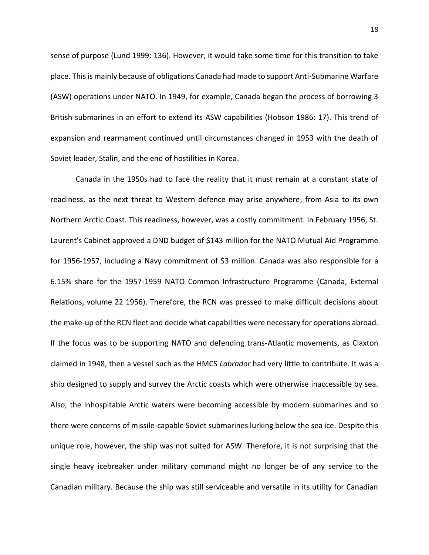sense of purpose (Lund 1999: 136). However, it would take some time for this transition to take place. This is mainly because of obligations Canada had made to support Anti-Submarine Warfare (ASW) operations under NATO. In 1949, for example, Canada began the process of borrowing 3 British submarines in an effort to extend its ASW capabilities (Hobson 1986: 17). This trend of expansion and rearmament continued until circumstances changed in 1953 with the death of Soviet leader, Stalin, and the end of hostilities in Korea.

Canada in the 1950s had to face the reality that it must remain at a constant state of readiness, as the next threat to Western defence may arise anywhere, from Asia to its own Northern Arctic Coast. This readiness, however, was a costly commitment. In February 1956, St. Laurent's Cabinet approved a DND budget of \$143 million for the NATO Mutual Aid Programme for 1956-1957, including a Navy commitment of \$3 million. Canada was also responsible for a 6.15% share for the 1957-1959 NATO Common Infrastructure Programme (Canada, External Relations, volume 22 1956). Therefore, the RCN was pressed to make difficult decisions about the make-up of the RCN fleet and decide what capabilities were necessary for operations abroad. If the focus was to be supporting NATO and defending trans-Atlantic movements, as Claxton claimed in 1948, then a vessel such as the HMCS *Labrador* had very little to contribute. It was a ship designed to supply and survey the Arctic coasts which were otherwise inaccessible by sea. Also, the inhospitable Arctic waters were becoming accessible by modern submarines and so there were concerns of missile-capable Soviet submarines lurking below the sea ice. Despite this unique role, however, the ship was not suited for ASW. Therefore, it is not surprising that the single heavy icebreaker under military command might no longer be of any service to the Canadian military. Because the ship was still serviceable and versatile in its utility for Canadian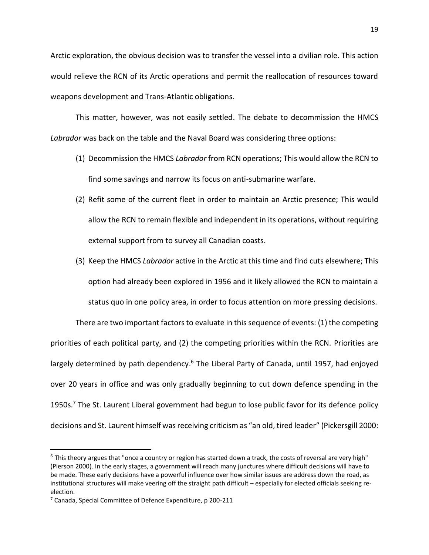Arctic exploration, the obvious decision was to transfer the vessel into a civilian role. This action would relieve the RCN of its Arctic operations and permit the reallocation of resources toward weapons development and Trans-Atlantic obligations.

This matter, however, was not easily settled. The debate to decommission the HMCS *Labrador* was back on the table and the Naval Board was considering three options:

- (1) Decommission the HMCS *Labrador* from RCN operations; This would allow the RCN to find some savings and narrow its focus on anti-submarine warfare.
- (2) Refit some of the current fleet in order to maintain an Arctic presence; This would allow the RCN to remain flexible and independent in its operations, without requiring external support from to survey all Canadian coasts.
- (3) Keep the HMCS *Labrador* active in the Arctic at this time and find cuts elsewhere; This option had already been explored in 1956 and it likely allowed the RCN to maintain a status quo in one policy area, in order to focus attention on more pressing decisions.

There are two important factors to evaluate in this sequence of events: (1) the competing priorities of each political party, and (2) the competing priorities within the RCN. Priorities are largely determined by path dependency.<sup>6</sup> The Liberal Party of Canada, until 1957, had enjoyed over 20 years in office and was only gradually beginning to cut down defence spending in the 1950s.<sup>7</sup> The St. Laurent Liberal government had begun to lose public favor for its defence policy decisions and St. Laurent himself was receiving criticism as "an old, tired leader" (Pickersgill 2000:

 $6$  This theory argues that "once a country or region has started down a track, the costs of reversal are very high" (Pierson 2000). In the early stages, a government will reach many junctures where difficult decisions will have to be made. These early decisions have a powerful influence over how similar issues are address down the road, as institutional structures will make veering off the straight path difficult – especially for elected officials seeking reelection.

<sup>7</sup> Canada, Special Committee of Defence Expenditure, p 200-211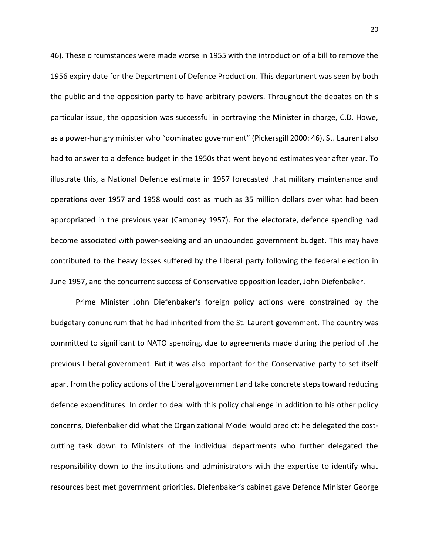46). These circumstances were made worse in 1955 with the introduction of a bill to remove the 1956 expiry date for the Department of Defence Production. This department was seen by both the public and the opposition party to have arbitrary powers. Throughout the debates on this particular issue, the opposition was successful in portraying the Minister in charge, C.D. Howe, as a power-hungry minister who "dominated government" (Pickersgill 2000: 46). St. Laurent also had to answer to a defence budget in the 1950s that went beyond estimates year after year. To illustrate this, a National Defence estimate in 1957 forecasted that military maintenance and operations over 1957 and 1958 would cost as much as 35 million dollars over what had been appropriated in the previous year (Campney 1957). For the electorate, defence spending had become associated with power-seeking and an unbounded government budget. This may have contributed to the heavy losses suffered by the Liberal party following the federal election in June 1957, and the concurrent success of Conservative opposition leader, John Diefenbaker.

Prime Minister John Diefenbaker's foreign policy actions were constrained by the budgetary conundrum that he had inherited from the St. Laurent government. The country was committed to significant to NATO spending, due to agreements made during the period of the previous Liberal government. But it was also important for the Conservative party to set itself apart from the policy actions of the Liberal government and take concrete steps toward reducing defence expenditures. In order to deal with this policy challenge in addition to his other policy concerns, Diefenbaker did what the Organizational Model would predict: he delegated the costcutting task down to Ministers of the individual departments who further delegated the responsibility down to the institutions and administrators with the expertise to identify what resources best met government priorities. Diefenbaker's cabinet gave Defence Minister George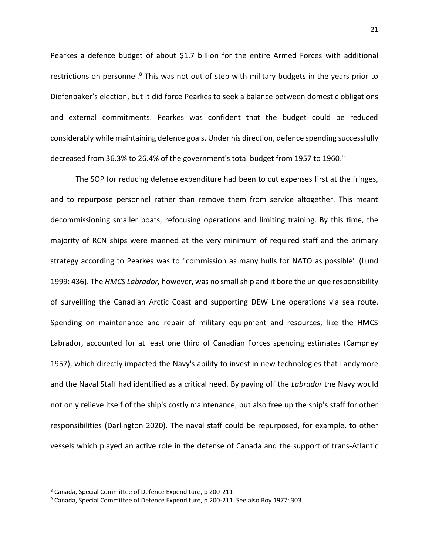Pearkes a defence budget of about \$1.7 billion for the entire Armed Forces with additional restrictions on personnel.<sup>8</sup> This was not out of step with military budgets in the years prior to Diefenbaker's election, but it did force Pearkes to seek a balance between domestic obligations and external commitments. Pearkes was confident that the budget could be reduced considerably while maintaining defence goals. Under his direction, defence spending successfully decreased from 36.3% to 26.4% of the government's total budget from 1957 to 1960. $^9$ 

The SOP for reducing defense expenditure had been to cut expenses first at the fringes, and to repurpose personnel rather than remove them from service altogether. This meant decommissioning smaller boats, refocusing operations and limiting training. By this time, the majority of RCN ships were manned at the very minimum of required staff and the primary strategy according to Pearkes was to "commission as many hulls for NATO as possible" (Lund 1999: 436). The *HMCS Labrador,* however, was no small ship and it bore the unique responsibility of surveilling the Canadian Arctic Coast and supporting DEW Line operations via sea route. Spending on maintenance and repair of military equipment and resources, like the HMCS Labrador, accounted for at least one third of Canadian Forces spending estimates (Campney 1957), which directly impacted the Navy's ability to invest in new technologies that Landymore and the Naval Staff had identified as a critical need. By paying off the *Labrador* the Navy would not only relieve itself of the ship's costly maintenance, but also free up the ship's staff for other responsibilities (Darlington 2020). The naval staff could be repurposed, for example, to other vessels which played an active role in the defense of Canada and the support of trans-Atlantic

<sup>8</sup> Canada, Special Committee of Defence Expenditure, p 200-211

<sup>9</sup> Canada, Special Committee of Defence Expenditure, p 200-211. See also Roy 1977: 303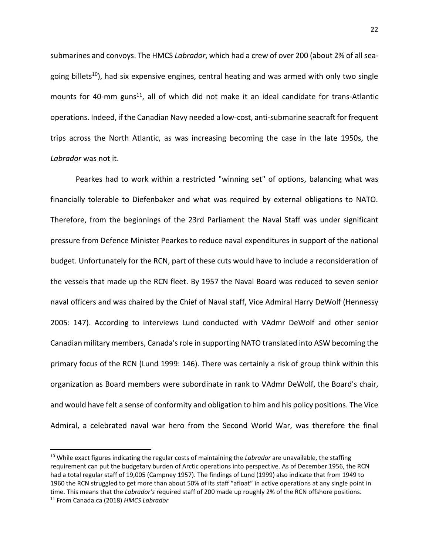submarines and convoys. The HMCS *Labrador*, which had a crew of over 200 (about 2% of all seagoing billets<sup>10</sup>), had six expensive engines, central heating and was armed with only two single mounts for 40-mm guns<sup>11</sup>, all of which did not make it an ideal candidate for trans-Atlantic operations. Indeed, if the Canadian Navy needed a low-cost, anti-submarine seacraft for frequent trips across the North Atlantic, as was increasing becoming the case in the late 1950s, the *Labrador* was not it.

Pearkes had to work within a restricted "winning set" of options, balancing what was financially tolerable to Diefenbaker and what was required by external obligations to NATO. Therefore, from the beginnings of the 23rd Parliament the Naval Staff was under significant pressure from Defence Minister Pearkes to reduce naval expenditures in support of the national budget. Unfortunately for the RCN, part of these cuts would have to include a reconsideration of the vessels that made up the RCN fleet. By 1957 the Naval Board was reduced to seven senior naval officers and was chaired by the Chief of Naval staff, Vice Admiral Harry DeWolf (Hennessy 2005: 147). According to interviews Lund conducted with VAdmr DeWolf and other senior Canadian military members, Canada's role in supporting NATO translated into ASW becoming the primary focus of the RCN (Lund 1999: 146). There was certainly a risk of group think within this organization as Board members were subordinate in rank to VAdmr DeWolf, the Board's chair, and would have felt a sense of conformity and obligation to him and his policy positions. The Vice Admiral, a celebrated naval war hero from the Second World War, was therefore the final

<sup>10</sup> While exact figures indicating the regular costs of maintaining the *Labrador* are unavailable, the staffing requirement can put the budgetary burden of Arctic operations into perspective. As of December 1956, the RCN had a total regular staff of 19,005 (Campney 1957). The findings of Lund (1999) also indicate that from 1949 to 1960 the RCN struggled to get more than about 50% of its staff "afloat" in active operations at any single point in time. This means that the *Labrador's* required staff of 200 made up roughly 2% of the RCN offshore positions. <sup>11</sup> From Canada.ca (2018) *HMCS Labrador*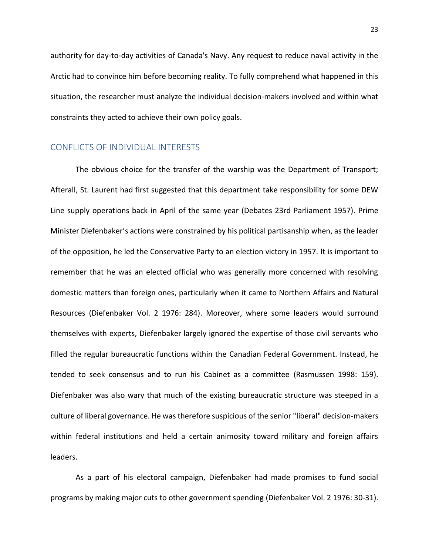authority for day-to-day activities of Canada's Navy. Any request to reduce naval activity in the Arctic had to convince him before becoming reality. To fully comprehend what happened in this situation, the researcher must analyze the individual decision-makers involved and within what constraints they acted to achieve their own policy goals.

## CONFLICTS OF INDIVIDUAL INTERESTS

The obvious choice for the transfer of the warship was the Department of Transport; Afterall, St. Laurent had first suggested that this department take responsibility for some DEW Line supply operations back in April of the same year (Debates 23rd Parliament 1957). Prime Minister Diefenbaker's actions were constrained by his political partisanship when, as the leader of the opposition, he led the Conservative Party to an election victory in 1957. It is important to remember that he was an elected official who was generally more concerned with resolving domestic matters than foreign ones, particularly when it came to Northern Affairs and Natural Resources (Diefenbaker Vol. 2 1976: 284). Moreover, where some leaders would surround themselves with experts, Diefenbaker largely ignored the expertise of those civil servants who filled the regular bureaucratic functions within the Canadian Federal Government. Instead, he tended to seek consensus and to run his Cabinet as a committee (Rasmussen 1998: 159). Diefenbaker was also wary that much of the existing bureaucratic structure was steeped in a culture of liberal governance. He was therefore suspicious of the senior "liberal" decision-makers within federal institutions and held a certain animosity toward military and foreign affairs leaders.

As a part of his electoral campaign, Diefenbaker had made promises to fund social programs by making major cuts to other government spending (Diefenbaker Vol. 2 1976: 30-31).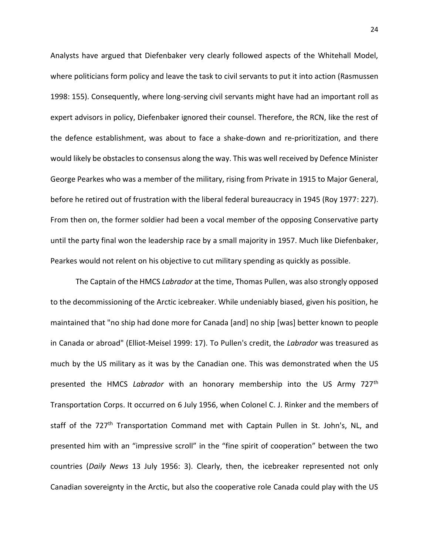Analysts have argued that Diefenbaker very clearly followed aspects of the Whitehall Model, where politicians form policy and leave the task to civil servants to put it into action (Rasmussen 1998: 155). Consequently, where long-serving civil servants might have had an important roll as expert advisors in policy, Diefenbaker ignored their counsel. Therefore, the RCN, like the rest of the defence establishment, was about to face a shake-down and re-prioritization, and there would likely be obstacles to consensus along the way. This was well received by Defence Minister George Pearkes who was a member of the military, rising from Private in 1915 to Major General, before he retired out of frustration with the liberal federal bureaucracy in 1945 (Roy 1977: 227). From then on, the former soldier had been a vocal member of the opposing Conservative party until the party final won the leadership race by a small majority in 1957. Much like Diefenbaker, Pearkes would not relent on his objective to cut military spending as quickly as possible.

The Captain of the HMCS *Labrador* at the time, Thomas Pullen, was also strongly opposed to the decommissioning of the Arctic icebreaker. While undeniably biased, given his position, he maintained that "no ship had done more for Canada [and] no ship [was] better known to people in Canada or abroad" (Elliot-Meisel 1999: 17). To Pullen's credit, the *Labrador* was treasured as much by the US military as it was by the Canadian one. This was demonstrated when the US presented the HMCS *Labrador* with an honorary membership into the US Army 727th Transportation Corps. It occurred on 6 July 1956, when Colonel C. J. Rinker and the members of staff of the 727<sup>th</sup> Transportation Command met with Captain Pullen in St. John's, NL, and presented him with an "impressive scroll" in the "fine spirit of cooperation" between the two countries (*Daily News* 13 July 1956: 3). Clearly, then, the icebreaker represented not only Canadian sovereignty in the Arctic, but also the cooperative role Canada could play with the US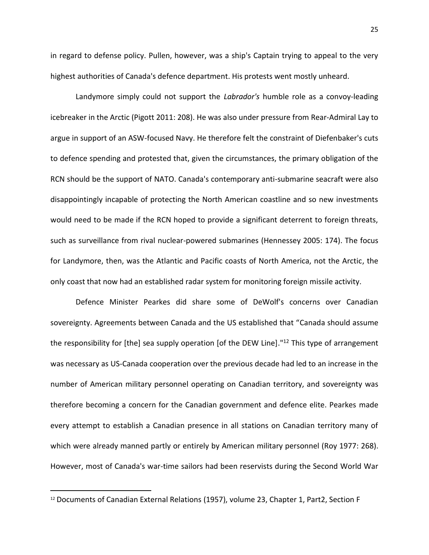in regard to defense policy. Pullen, however, was a ship's Captain trying to appeal to the very highest authorities of Canada's defence department. His protests went mostly unheard.

Landymore simply could not support the *Labrador's* humble role as a convoy-leading icebreaker in the Arctic (Pigott 2011: 208). He was also under pressure from Rear-Admiral Lay to argue in support of an ASW-focused Navy. He therefore felt the constraint of Diefenbaker's cuts to defence spending and protested that, given the circumstances, the primary obligation of the RCN should be the support of NATO. Canada's contemporary anti-submarine seacraft were also disappointingly incapable of protecting the North American coastline and so new investments would need to be made if the RCN hoped to provide a significant deterrent to foreign threats, such as surveillance from rival nuclear-powered submarines (Hennessey 2005: 174). The focus for Landymore, then, was the Atlantic and Pacific coasts of North America, not the Arctic, the only coast that now had an established radar system for monitoring foreign missile activity.

Defence Minister Pearkes did share some of DeWolf's concerns over Canadian sovereignty. Agreements between Canada and the US established that "Canada should assume the responsibility for [the] sea supply operation [of the DEW Line]."<sup>12</sup> This type of arrangement was necessary as US-Canada cooperation over the previous decade had led to an increase in the number of American military personnel operating on Canadian territory, and sovereignty was therefore becoming a concern for the Canadian government and defence elite. Pearkes made every attempt to establish a Canadian presence in all stations on Canadian territory many of which were already manned partly or entirely by American military personnel (Roy 1977: 268). However, most of Canada's war-time sailors had been reservists during the Second World War

 $12$  Documents of Canadian External Relations (1957), volume 23, Chapter 1, Part2, Section F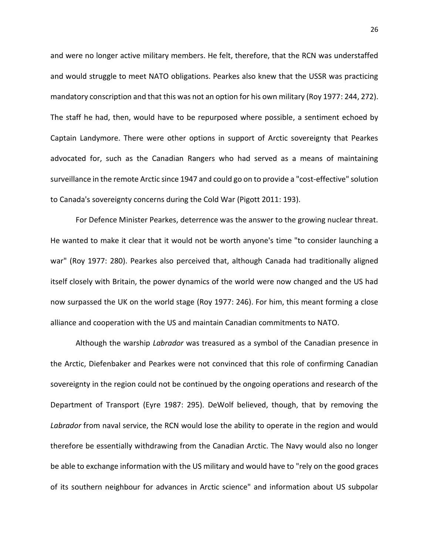and were no longer active military members. He felt, therefore, that the RCN was understaffed and would struggle to meet NATO obligations. Pearkes also knew that the USSR was practicing mandatory conscription and that this was not an option for his own military (Roy 1977: 244, 272). The staff he had, then, would have to be repurposed where possible, a sentiment echoed by Captain Landymore. There were other options in support of Arctic sovereignty that Pearkes advocated for, such as the Canadian Rangers who had served as a means of maintaining surveillance in the remote Arctic since 1947 and could go on to provide a "cost-effective" solution to Canada's sovereignty concerns during the Cold War (Pigott 2011: 193).

For Defence Minister Pearkes, deterrence was the answer to the growing nuclear threat. He wanted to make it clear that it would not be worth anyone's time "to consider launching a war" (Roy 1977: 280). Pearkes also perceived that, although Canada had traditionally aligned itself closely with Britain, the power dynamics of the world were now changed and the US had now surpassed the UK on the world stage (Roy 1977: 246). For him, this meant forming a close alliance and cooperation with the US and maintain Canadian commitments to NATO.

Although the warship *Labrador* was treasured as a symbol of the Canadian presence in the Arctic, Diefenbaker and Pearkes were not convinced that this role of confirming Canadian sovereignty in the region could not be continued by the ongoing operations and research of the Department of Transport (Eyre 1987: 295). DeWolf believed, though, that by removing the *Labrador* from naval service, the RCN would lose the ability to operate in the region and would therefore be essentially withdrawing from the Canadian Arctic. The Navy would also no longer be able to exchange information with the US military and would have to "rely on the good graces of its southern neighbour for advances in Arctic science" and information about US subpolar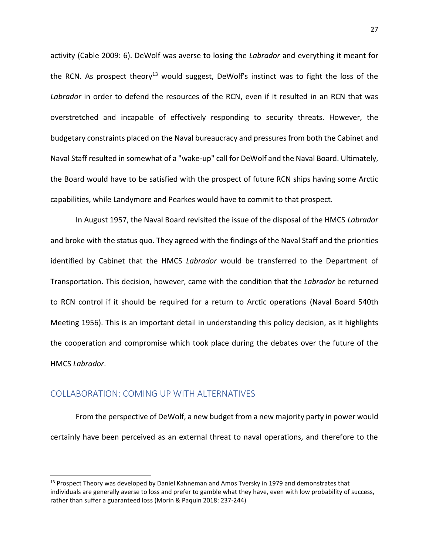activity (Cable 2009: 6). DeWolf was averse to losing the *Labrador* and everything it meant for the RCN. As prospect theory<sup>13</sup> would suggest, DeWolf's instinct was to fight the loss of the *Labrador* in order to defend the resources of the RCN, even if it resulted in an RCN that was overstretched and incapable of effectively responding to security threats. However, the budgetary constraints placed on the Naval bureaucracy and pressures from both the Cabinet and Naval Staff resulted in somewhat of a "wake-up" call for DeWolf and the Naval Board. Ultimately, the Board would have to be satisfied with the prospect of future RCN ships having some Arctic capabilities, while Landymore and Pearkes would have to commit to that prospect.

In August 1957, the Naval Board revisited the issue of the disposal of the HMCS *Labrador* and broke with the status quo. They agreed with the findings of the Naval Staff and the priorities identified by Cabinet that the HMCS *Labrador* would be transferred to the Department of Transportation. This decision, however, came with the condition that the *Labrador* be returned to RCN control if it should be required for a return to Arctic operations (Naval Board 540th Meeting 1956). This is an important detail in understanding this policy decision, as it highlights the cooperation and compromise which took place during the debates over the future of the HMCS *Labrador*.

# COLLABORATION: COMING UP WITH ALTERNATIVES

From the perspective of DeWolf, a new budget from a new majority party in power would certainly have been perceived as an external threat to naval operations, and therefore to the

<sup>&</sup>lt;sup>13</sup> Prospect Theory was developed by Daniel Kahneman and Amos Tversky in 1979 and demonstrates that individuals are generally averse to loss and prefer to gamble what they have, even with low probability of success, rather than suffer a guaranteed loss (Morin & Paquin 2018: 237-244)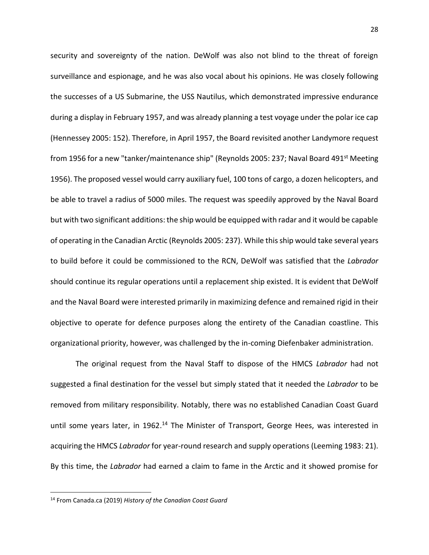security and sovereignty of the nation. DeWolf was also not blind to the threat of foreign surveillance and espionage, and he was also vocal about his opinions. He was closely following the successes of a US Submarine, the USS Nautilus, which demonstrated impressive endurance during a display in February 1957, and was already planning a test voyage under the polar ice cap (Hennessey 2005: 152). Therefore, in April 1957, the Board revisited another Landymore request from 1956 for a new "tanker/maintenance ship" (Reynolds 2005: 237; Naval Board 491<sup>st</sup> Meeting 1956). The proposed vessel would carry auxiliary fuel, 100 tons of cargo, a dozen helicopters, and be able to travel a radius of 5000 miles. The request was speedily approved by the Naval Board but with two significant additions: the ship would be equipped with radar and it would be capable of operating in the Canadian Arctic (Reynolds 2005: 237). While this ship would take several years to build before it could be commissioned to the RCN, DeWolf was satisfied that the *Labrador* should continue its regular operations until a replacement ship existed. It is evident that DeWolf and the Naval Board were interested primarily in maximizing defence and remained rigid in their objective to operate for defence purposes along the entirety of the Canadian coastline. This organizational priority, however, was challenged by the in-coming Diefenbaker administration.

The original request from the Naval Staff to dispose of the HMCS *Labrador* had not suggested a final destination for the vessel but simply stated that it needed the *Labrador* to be removed from military responsibility. Notably, there was no established Canadian Coast Guard until some years later, in 1962.<sup>14</sup> The Minister of Transport, George Hees, was interested in acquiring the HMCS *Labrador* for year-round research and supply operations (Leeming 1983: 21). By this time, the *Labrador* had earned a claim to fame in the Arctic and it showed promise for

<sup>14</sup> From Canada.ca (2019) *History of the Canadian Coast Guard*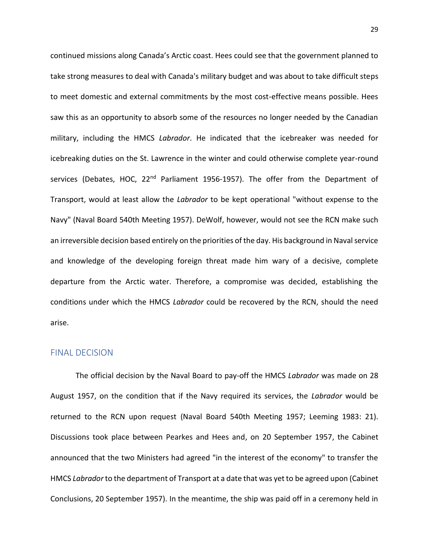continued missions along Canada's Arctic coast. Hees could see that the government planned to take strong measures to deal with Canada's military budget and was about to take difficult steps to meet domestic and external commitments by the most cost-effective means possible. Hees saw this as an opportunity to absorb some of the resources no longer needed by the Canadian military, including the HMCS *Labrador*. He indicated that the icebreaker was needed for icebreaking duties on the St. Lawrence in the winter and could otherwise complete year-round services (Debates, HOC, 22<sup>nd</sup> Parliament 1956-1957). The offer from the Department of Transport, would at least allow the *Labrador* to be kept operational "without expense to the Navy" (Naval Board 540th Meeting 1957). DeWolf, however, would not see the RCN make such an irreversible decision based entirely on the priorities of the day. His background in Naval service and knowledge of the developing foreign threat made him wary of a decisive, complete departure from the Arctic water. Therefore, a compromise was decided, establishing the conditions under which the HMCS *Labrador* could be recovered by the RCN, should the need arise.

## FINAL DECISION

The official decision by the Naval Board to pay-off the HMCS *Labrador* was made on 28 August 1957, on the condition that if the Navy required its services, the *Labrador* would be returned to the RCN upon request (Naval Board 540th Meeting 1957; Leeming 1983: 21). Discussions took place between Pearkes and Hees and, on 20 September 1957, the Cabinet announced that the two Ministers had agreed "in the interest of the economy" to transfer the HMCS *Labrador* to the department of Transport at a date that was yet to be agreed upon (Cabinet Conclusions, 20 September 1957). In the meantime, the ship was paid off in a ceremony held in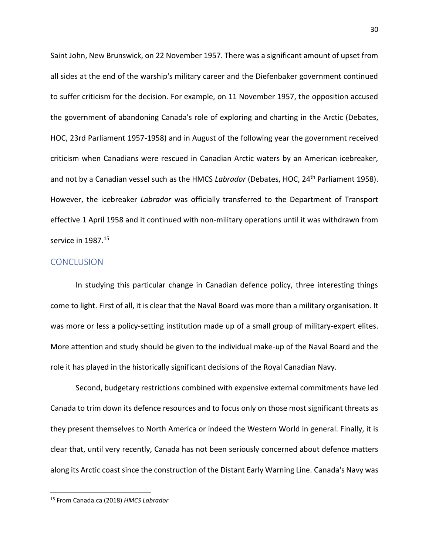Saint John, New Brunswick, on 22 November 1957. There was a significant amount of upset from all sides at the end of the warship's military career and the Diefenbaker government continued to suffer criticism for the decision. For example, on 11 November 1957, the opposition accused the government of abandoning Canada's role of exploring and charting in the Arctic (Debates, HOC, 23rd Parliament 1957-1958) and in August of the following year the government received criticism when Canadians were rescued in Canadian Arctic waters by an American icebreaker, and not by a Canadian vessel such as the HMCS *Labrador* (Debates, HOC, 24th Parliament 1958). However, the icebreaker *Labrador* was officially transferred to the Department of Transport effective 1 April 1958 and it continued with non-military operations until it was withdrawn from service in 1987. 15

### **CONCLUSION**

In studying this particular change in Canadian defence policy, three interesting things come to light. First of all, it is clear that the Naval Board was more than a military organisation. It was more or less a policy-setting institution made up of a small group of military-expert elites. More attention and study should be given to the individual make-up of the Naval Board and the role it has played in the historically significant decisions of the Royal Canadian Navy.

Second, budgetary restrictions combined with expensive external commitments have led Canada to trim down its defence resources and to focus only on those most significant threats as they present themselves to North America or indeed the Western World in general. Finally, it is clear that, until very recently, Canada has not been seriously concerned about defence matters along its Arctic coast since the construction of the Distant Early Warning Line. Canada's Navy was

<sup>15</sup> From Canada.ca (2018) *HMCS Labrador*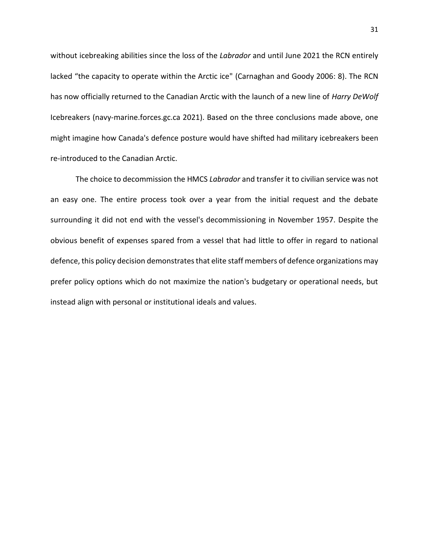without icebreaking abilities since the loss of the *Labrador* and until June 2021 the RCN entirely lacked "the capacity to operate within the Arctic ice" (Carnaghan and Goody 2006: 8). The RCN has now officially returned to the Canadian Arctic with the launch of a new line of *Harry DeWolf* Icebreakers (navy-marine.forces.gc.ca 2021). Based on the three conclusions made above, one might imagine how Canada's defence posture would have shifted had military icebreakers been re-introduced to the Canadian Arctic.

The choice to decommission the HMCS *Labrador* and transfer it to civilian service was not an easy one. The entire process took over a year from the initial request and the debate surrounding it did not end with the vessel's decommissioning in November 1957. Despite the obvious benefit of expenses spared from a vessel that had little to offer in regard to national defence, this policy decision demonstrates that elite staff members of defence organizations may prefer policy options which do not maximize the nation's budgetary or operational needs, but instead align with personal or institutional ideals and values.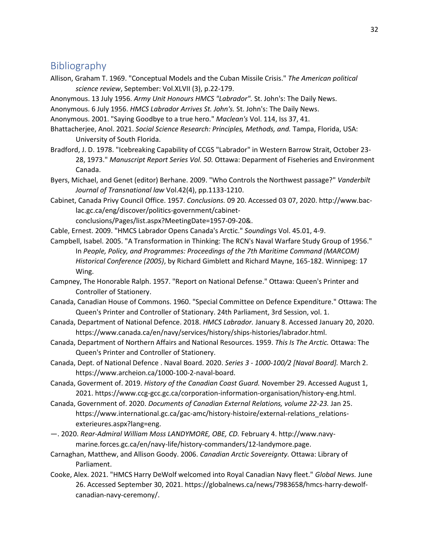# Bibliography

- Allison, Graham T. 1969. "Conceptual Models and the Cuban Missile Crisis." *The American political science review*, September: Vol.XLVII (3), p.22-179.
- Anonymous. 13 July 1956. *Army Unit Honours HMCS "Labrador".* St. John's: The Daily News.
- Anonymous. 6 July 1956. *HMCS Labrador Arrives St. John's.* St. John's: The Daily News.
- Anonymous. 2001. "Saying Goodbye to a true hero." *Maclean's* Vol. 114, Iss 37, 41.
- Bhattacherjee, Anol. 2021. *Social Science Research: Principles, Methods, and.* Tampa, Florida, USA: University of South Florida.
- Bradford, J. D. 1978. "Icebreaking Capability of CCGS "Labrador" in Western Barrow Strait, October 23- 28, 1973." *Manuscript Report Series Vol. 50.* Ottawa: Deparment of Fiseheries and Environment Canada.
- Byers, Michael, and Genet (editor) Berhane. 2009. "Who Controls the Northwest passage?" *Vanderbilt Journal of Transnational law* Vol.42(4), pp.1133-1210.
- Cabinet, Canada Privy Council Office. 1957. *Conclusions.* 09 20. Accessed 03 07, 2020. http://www.baclac.gc.ca/eng/discover/politics-government/cabinet-

conclusions/Pages/list.aspx?MeetingDate=1957-09-20&.

- Cable, Ernest. 2009. "HMCS Labrador Opens Canada's Arctic." *Soundings* Vol. 45.01, 4-9.
- Campbell, Isabel. 2005. "A Transformation in Thinking: The RCN's Naval Warfare Study Group of 1956." In *People, Policy, and Programmes: Proceedings of the 7th Maritime Command (MARCOM) Historical Conference (2005)*, by Richard Gimblett and Richard Mayne, 165-182. Winnipeg: 17 Wing.
- Campney, The Honorable Ralph. 1957. "Report on National Defense." Ottawa: Queen's Printer and Controller of Stationery.
- Canada, Canadian House of Commons. 1960. "Special Committee on Defence Expenditure." Ottawa: The Queen's Printer and Controller of Stationary. 24th Parliament, 3rd Session, vol. 1.
- Canada, Department of National Defence. 2018. *HMCS Labrador.* January 8. Accessed January 20, 2020. https://www.canada.ca/en/navy/services/history/ships-histories/labrador.html.
- Canada, Department of Northern Affairs and National Resources. 1959. *This Is The Arctic.* Ottawa: The Queen's Printer and Controller of Stationery.
- Canada, Dept. of National Defence . Naval Board. 2020. *Series 3 - 1000-100/2 [Naval Board].* March 2. https://www.archeion.ca/1000-100-2-naval-board.
- Canada, Goverment of. 2019. *History of the Canadian Coast Guard.* November 29. Accessed August 1, 2021. https://www.ccg-gcc.gc.ca/corporation-information-organisation/history-eng.html.
- Canada, Government of. 2020. *Documents of Canadian External Relations, volume 22-23.* Jan 25. https://www.international.gc.ca/gac-amc/history-histoire/external-relations\_relationsexterieures.aspx?lang=eng.
- —. 2020. *Rear-Admiral William Moss LANDYMORE, OBE, CD.* February 4. http://www.navymarine.forces.gc.ca/en/navy-life/history-commanders/12-landymore.page.
- Carnaghan, Matthew, and Allison Goody. 2006. *Canadian Arctic Sovereignty.* Ottawa: Library of Parliament.
- Cooke, Alex. 2021. "HMCS Harry DeWolf welcomed into Royal Canadian Navy fleet." *Global News.* June 26. Accessed September 30, 2021. https://globalnews.ca/news/7983658/hmcs-harry-dewolfcanadian-navy-ceremony/.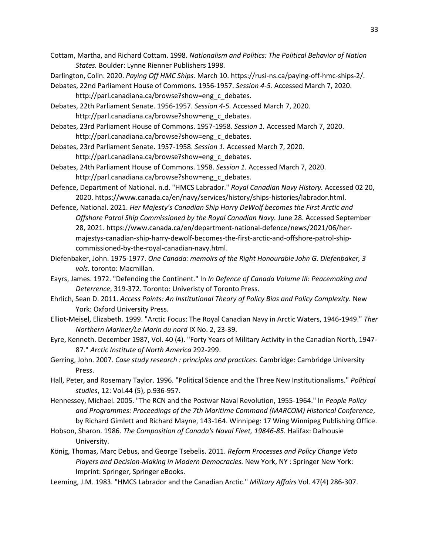Cottam, Martha, and Richard Cottam. 1998. *Nationalism and Politics: The Political Behavior of Nation States.* Boulder: Lynne Rienner Publishers 1998.

Darlington, Colin. 2020. *Paying Off HMC Ships.* March 10. https://rusi-ns.ca/paying-off-hmc-ships-2/.

Debates, 22nd Parliament House of Commons. 1956-1957. *Session 4-5.* Accessed March 7, 2020.

http://parl.canadiana.ca/browse?show=eng\_c\_debates.

Debates, 22th Parliament Senate. 1956-1957. *Session 4-5.* Accessed March 7, 2020. http://parl.canadiana.ca/browse?show=eng\_c\_debates.

- Debates, 23rd Parliament House of Commons. 1957-1958. *Session 1.* Accessed March 7, 2020. http://parl.canadiana.ca/browse?show=eng\_c\_debates.
- Debates, 23rd Parliament Senate. 1957-1958. *Session 1.* Accessed March 7, 2020. http://parl.canadiana.ca/browse?show=eng\_c\_debates.
- Debates, 24th Parliament House of Commons. 1958. *Session 1.* Accessed March 7, 2020. http://parl.canadiana.ca/browse?show=eng\_c\_debates.
- Defence, Department of National. n.d. "HMCS Labrador." *Royal Canadian Navy History.* Accessed 02 20, 2020. https://www.canada.ca/en/navy/services/history/ships-histories/labrador.html.
- Defence, National. 2021. *Her Majesty's Canadian Ship Harry DeWolf becomes the First Arctic and Offshore Patrol Ship Commissioned by the Royal Canadian Navy.* June 28. Accessed September 28, 2021. https://www.canada.ca/en/department-national-defence/news/2021/06/hermajestys-canadian-ship-harry-dewolf-becomes-the-first-arctic-and-offshore-patrol-shipcommissioned-by-the-royal-canadian-navy.html.
- Diefenbaker, John. 1975-1977. *One Canada: memoirs of the Right Honourable John G. Diefenbaker, 3 vols.* toronto: Macmillan.
- Eayrs, James. 1972. "Defending the Continent." In *In Defence of Canada Volume III: Peacemaking and Deterrence*, 319-372. Toronto: Univeristy of Toronto Press.
- Ehrlich, Sean D. 2011. *Access Points: An Institutional Theory of Policy Bias and Policy Complexity.* New York: Oxford University Press.
- Elliot-Meisel, Elizabeth. 1999. "Arctic Focus: The Royal Canadian Navy in Arctic Waters, 1946-1949." *Ther Northern Mariner/Le Marin du nord* IX No. 2, 23-39.
- Eyre, Kenneth. December 1987, Vol. 40 (4). "Forty Years of Military Activity in the Canadian North, 1947- 87." *Arctic Institute of North America* 292-299.
- Gerring, John. 2007. *Case study research : principles and practices.* Cambridge: Cambridge University Press.
- Hall, Peter, and Rosemary Taylor. 1996. "Political Science and the Three New Institutionalisms." *Political studies*, 12: Vol.44 (5), p.936-957.
- Hennessey, Michael. 2005. "The RCN and the Postwar Naval Revolution, 1955-1964." In *People Policy and Programmes: Proceedings of the 7th Maritime Command (MARCOM) Historical Conference*, by Richard Gimlett and Richard Mayne, 143-164. Winnipeg: 17 Wing Winnipeg Publishing Office.
- Hobson, Sharon. 1986. *The Composition of Canada's Naval Fleet, 19846-85.* Halifax: Dalhousie University.
- König, Thomas, Marc Debus, and George Tsebelis. 2011. *Reform Processes and Policy Change Veto Players and Decision-Making in Modern Democracies.* New York, NY : Springer New York: Imprint: Springer, Springer eBooks.
- Leeming, J.M. 1983. "HMCS Labrador and the Canadian Arctic." *Military Affairs* Vol. 47(4) 286-307.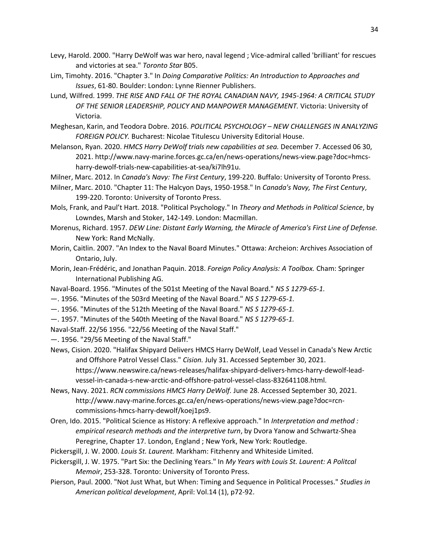- Levy, Harold. 2000. "Harry DeWolf was war hero, naval legend ; Vice-admiral called 'brilliant' for rescues and victories at sea." *Toronto Star* B05.
- Lim, Timohty. 2016. "Chapter 3." In *Doing Comparative Politics: An Introduction to Approaches and Issues*, 61-80. Boulder: London: Lynne Rienner Publishers.
- Lund, Wilfred. 1999. *THE RISE AND FALL OF THE ROYAL CANADIAN NAVY, 1945-1964: A CRITICAL STUDY OF THE SENIOR LEADERSHIP, POLICY AND MANPOWER MANAGEMENT.* Victoria: University of Victoria.
- Meghesan, Karin, and Teodora Dobre. 2016. *POLITICAL PSYCHOLOGY – NEW CHALLENGES IN ANALYZING FOREIGN POLICY.* Bucharest: Nicolae Titulescu University Editorial House.
- Melanson, Ryan. 2020. *HMCS Harry DeWolf trials new capabilities at sea.* December 7. Accessed 06 30, 2021. http://www.navy-marine.forces.gc.ca/en/news-operations/news-view.page?doc=hmcsharry-dewolf-trials-new-capabilities-at-sea/ki7lh91u.
- Milner, Marc. 2012. In *Canada's Navy: The First Century*, 199-220. Buffalo: University of Toronto Press.
- Milner, Marc. 2010. "Chapter 11: The Halcyon Days, 1950-1958." In *Canada's Navy, The First Century*, 199-220. Toronto: University of Toronto Press.
- Mols, Frank, and Paul't Hart. 2018. "Political Psychology." In *Theory and Methods in Political Science*, by Lowndes, Marsh and Stoker, 142-149. London: Macmillan.
- Morenus, Richard. 1957. *DEW Line: Distant Early Warning, the Miracle of America's First Line of Defense.* New York: Rand McNally.
- Morin, Caitlin. 2007. "An Index to the Naval Board Minutes." Ottawa: Archeion: Archives Association of Ontario, July.
- Morin, Jean-Frédéric, and Jonathan Paquin. 2018. *Foreign Policy Analysis: A Toolbox.* Cham: Springer International Publishing AG.
- Naval-Board. 1956. "Minutes of the 501st Meeting of the Naval Board." *NS S 1279-65-1.*
- —. 1956. "Minutes of the 503rd Meeting of the Naval Board." *NS S 1279-65-1.*
- —. 1956. "Minutes of the 512th Meeting of the Naval Board." *NS S 1279-65-1.*
- —. 1957. "Minutes of the 540th Meeting of the Naval Board." *NS S 1279-65-1.*
- Naval-Staff. 22/56 1956. "22/56 Meeting of the Naval Staff."
- —. 1956. "29/56 Meeting of the Naval Staff."
- News, Cision. 2020. "Halifax Shipyard Delivers HMCS Harry DeWolf, Lead Vessel in Canada's New Arctic and Offshore Patrol Vessel Class." *Cision.* July 31. Accessed September 30, 2021. https://www.newswire.ca/news-releases/halifax-shipyard-delivers-hmcs-harry-dewolf-leadvessel-in-canada-s-new-arctic-and-offshore-patrol-vessel-class-832641108.html.
- News, Navy. 2021. *RCN commissions HMCS Harry DeWolf.* June 28. Accessed September 30, 2021. http://www.navy-marine.forces.gc.ca/en/news-operations/news-view.page?doc=rcncommissions-hmcs-harry-dewolf/koej1ps9.
- Oren, Ido. 2015. "Political Science as History: A reflexive approach." In *Interpretation and method : empirical research methods and the interpretive turn*, by Dvora Yanow and Schwartz-Shea Peregrine, Chapter 17. London, England ; New York, New York: Routledge.
- Pickersgill, J. W. 2000. *Louis St. Laurent.* Markham: Fitzhenry and Whiteside Limited.
- Pickersgill, J. W. 1975. "Part Six: the Declining Years." In *My Years with Louis St. Laurent: A Politcal Memoir*, 253-328. Toronto: University of Toronto Press.
- Pierson, Paul. 2000. "Not Just What, but When: Timing and Sequence in Political Processes." *Studies in American political development*, April: Vol.14 (1), p72-92.